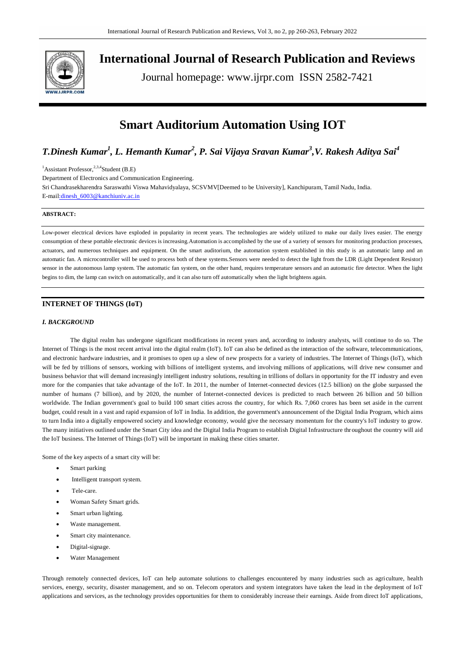

**International Journal of Research Publication and Reviews**

Journal homepage: www.ijrpr.com ISSN 2582-7421

# **Smart Auditorium Automation Using IOT**

# *T.Dinesh Kumar<sup>1</sup> , L. Hemanth Kumar<sup>2</sup> , P. Sai Vijaya Sravan Kumar<sup>3</sup> ,V. Rakesh Aditya Sai<sup>4</sup>*

<sup>1</sup>Assistant Professor,  $^{2,3,4}$ Student (B.E) Department of Electronics and Communication Engineering. Sri Chandrasekharendra Saraswathi Viswa Mahavidyalaya, SCSVMV[Deemed to be University], Kanchipuram, Tamil Nadu, India. E-mail:dinesh\_6003@kanchiuniv.ac.in

# **ABSTRACT:**

Low-power electrical devices have exploded in popularity in recent years. The technologies are widely utilized to make our daily lives easier. The energy consumption of these portable electronic devices is increasing.Automation is accomplished by the use of a variety of sensors for monitoring production processes, actuators, and numerous techniques and equipment. On the smart auditorium, the automation system established in this study is an automatic lamp and an automatic fan. A microcontroller will be used to process both of these systems.Sensors were needed to detect the light from the LDR (Light Dependent Resistor) sensor in the autonomous lamp system. The automatic fan system, on the other hand, requires temperature sensors and an automatic fire detector. When the light begins to dim, the lamp can switch on automatically, and it can also turn off automatically when the light brightens again.

# **INTERNET OF THINGS (IoT)**

# *I. BACKGROUND*

The digital realm has undergone significant modifications in recent years and, according to industry analysts, will continue to do so. The Internet of Things is the most recent arrival into the digital realm (IoT). IoT can also be defined as the interaction of the software, telecommunications, and electronic hardware industries, and it promises to open up a slew of new prospects for a variety of industries. The Internet of Things (IoT), which will be fed by trillions of sensors, working with billions of intelligent systems, and involving millions of applications, will drive new consumer and business behavior that will demand increasingly intelligent industry solutions, resulting in trillions of dollars in opportunity for the IT industry and even more for the companies that take advantage of the IoT. In 2011, the number of Internet-connected devices (12.5 billion) on the globe surpassed the number of humans (7 billion), and by 2020, the number of Internet-connected devices is predicted to reach between 26 billion and 50 billion worldwide. The Indian government's goal to build 100 smart cities across the country, for which Rs. 7,060 crores has been set aside in the current budget, could result in a vast and rapid expansion of IoT in India. In addition, the government's announcement of the Digital India Program, which aims to turn India into a digitally empowered society and knowledge economy, would give the necessary momentum for the country's IoT industry to grow. The many initiatives outlined under the Smart City idea and the Digital India Program to establish Digital Infrastructure throughout the country will aid the IoT business. The Internet of Things (IoT) will be important in making these cities smarter.

Some of the key aspects of a smart city will be:

- Smart parking
- Intelligent transport system.
- Tele-care.
- Woman Safety Smart grids.
- Smart urban lighting.
- Waste management.
- Smart city maintenance.
- Digital-signage.
- Water Management

Through remotely connected devices, IoT can help automate solutions to challenges encountered by many industries such as agriculture, health services, energy, security, disaster management, and so on. Telecom operators and system integrators have taken the lead in the deployment of IoT applications and services, as the technology provides opportunities for them to considerably increase their earnings. Aside from direct IoT applications,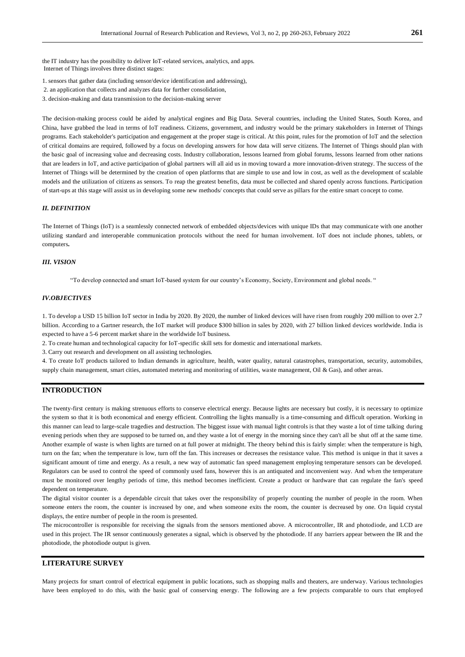the IT industry has the possibility to deliver IoT-related services, analytics, and apps. Internet of Things involves three distinct stages:

- 1. sensors that gather data (including sensor/device identification and addressing),
- 2. an application that collects and analyzes data for further consolidation,
- 3. decision-making and data transmission to the decision-making server

The decision-making process could be aided by analytical engines and Big Data. Several countries, including the United States, South Korea, and China, have grabbed the lead in terms of IoT readiness. Citizens, government, and industry would be the primary stakeholders in Internet of Things programs. Each stakeholder's participation and engagement at the proper stage is critical. At this point, rules for the promotion of IoT and the selection of critical domains are required, followed by a focus on developing answers for how data will serve citizens. The Internet of Things should plan with the basic goal of increasing value and decreasing costs. Industry collaboration, lessons learned from global forums, lessons learned from other nations that are leaders in IoT, and active participation of global partners will all aid us in moving toward a more innovation-driven strategy. The success of the Internet of Things will be determined by the creation of open platforms that are simple to use and low in cost, as well as the development of scalable models and the utilization of citizens as sensors. To reap the greatest benefits, data must be collected and shared openly across functions. Participation of start-ups at this stage will assist us in developing some new methods/ concepts that could serve as pillars for the entire smart concept to come.

#### *II. DEFINITION*

The Internet of Things (IoT) is a seamlessly connected network of embedded objects/devices with unique IDs that may communicate with one another utilizing standard and interoperable communication protocols without the need for human involvement. IoT does not include phones, tablets, or computers**.**

# *III. VISION*

"To develop connected and smart IoT-based system for our country's Economy, Society, Environment and global needs. "

## *IV.OBJECTIVES*

1. To develop a USD 15 billion IoT sector in India by 2020. By 2020, the number of linked devices will have risen from roughly 200 million to over 2.7 billion. According to a Gartner research, the IoT market will produce \$300 billion in sales by 2020, with 27 billion linked devices worldwide. India is expected to have a 5-6 percent market share in the worldwide IoT business.

2. To create human and technological capacity for IoT-specific skill sets for domestic and international markets.

3. Carry out research and development on all assisting technologies.

4. To create IoT products tailored to Indian demands in agriculture, health, water quality, natural catastrophes, transportation, security, automobiles, supply chain management, smart cities, automated metering and monitoring of utilities, waste management, Oil & Gas), and other areas.

# **INTRODUCTION**

The twenty-first century is making strenuous efforts to conserve electrical energy. Because lights are necessary but costly, it is necessary to optimize the system so that it is both economical and energy efficient. Controlling the lights manually is a time-consuming and difficult operation. Working in this manner can lead to large-scale tragedies and destruction. The biggest issue with manual light controls is that they waste a lot of time talking during evening periods when they are supposed to be turned on, and they waste a lot of energy in the morning since they can't all be shut off at the same time. Another example of waste is when lights are turned on at full power at midnight. The theory behind this is fairly simple: when the temperature is high, turn on the fan; when the temperature is low, turn off the fan. This increases or decreases the resistance value. This method is unique in that it saves a significant amount of time and energy. As a result, a new way of automatic fan speed management employing temperature sensors can be developed. Regulators can be used to control the speed of commonly used fans, however this is an antiquated and inconvenient way. And when the temperature must be monitored over lengthy periods of time, this method becomes inefficient. Create a product or hardware that can regulate the fan's speed dependent on temperature.

The digital visitor counter is a dependable circuit that takes over the responsibility of properly counting the number of people in the room. When someone enters the room, the counter is increased by one, and when someone exits the room, the counter is decreased by one. On liquid crystal displays, the entire number of people in the room is presented.

The microcontroller is responsible for receiving the signals from the sensors mentioned above. A microcontroller, IR and photodiode, and LCD are used in this project. The IR sensor continuously generates a signal, which is observed by the photodiode. If any barriers appear between the IR and the photodiode, the photodiode output is given.

# **LITERATURE SURVEY**

Many projects for smart control of electrical equipment in public locations, such as shopping malls and theaters, are underway. Various technologies have been employed to do this, with the basic goal of conserving energy. The following are a few projects comparable to ours that employed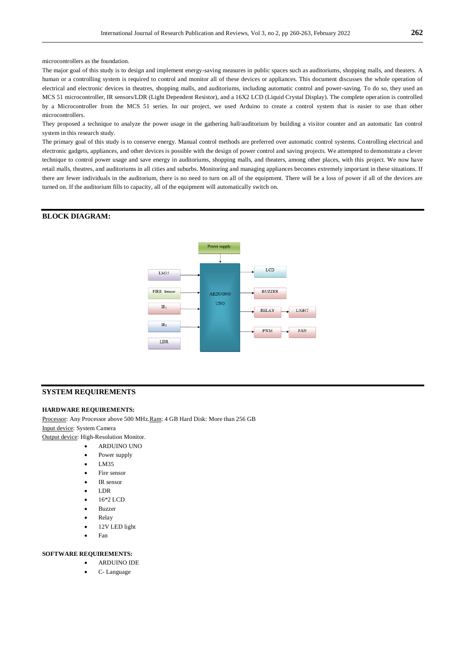microcontrollers as the foundation.

The major goal of this study is to design and implement energy-saving measures in public spaces such as auditoriums, shopping malls, and theaters. A human or a controlling system is required to control and monitor all of these devices or appliances. This document discusses the whole operation of electrical and electronic devices in theatres, shopping malls, and auditoriums, including automatic control and power-saving. To do so, they used an MCS 51 microcontroller, IR sensors/LDR (Light Dependent Resistor), and a 16X2 LCD (Liquid Crystal Display). The complete operation is controlled by a Microcontroller from the MCS 51 series. In our project, we used Arduino to create a control system that is easier to use than other microcontrollers.

They proposed a technique to analyze the power usage in the gathering hall/auditorium by building a visitor counter and an automatic fan control system in this research study.

The primary goal of this study is to conserve energy. Manual control methods are preferred over automatic control systems. Controlling electrical and electronic gadgets, appliances, and other devices is possible with the design of power control and saving projects. We attempted to demonstrate a clever technique to control power usage and save energy in auditoriums, shopping malls, and theaters, among other places, with this project. We now have retail malls, theatres, and auditoriums in all cities and suburbs. Monitoring and managing appliances becomes extremely important in these situations. If there are fewer individuals in the auditorium, there is no need to turn on all of the equipment. There will be a loss of power if all of the devices are turned on. If the auditorium fills to capacity, all of the equipment will automatically switch on.

# **BLOCK DIAGRAM:**



#### **SYSTEM REQUIREMENTS**

#### **HARDWARE REQUIREMENTS:**

Processor: Any Processor above 500 MHz. Ram: 4 GB Hard Disk: More than 256 GB Input device: System Camera Output device: High-Resolution Monitor.

ARDUINO UNO

- Power supply
- LM35
- 
- Fire sensor
- IR sensor
- LDR
- 16\*2 LCD
- Buzzer
- Relay
- 12V LED light
- Fan

#### **SOFTWARE REQUIREMENTS:**

- ARDUINO IDE
- C- Language